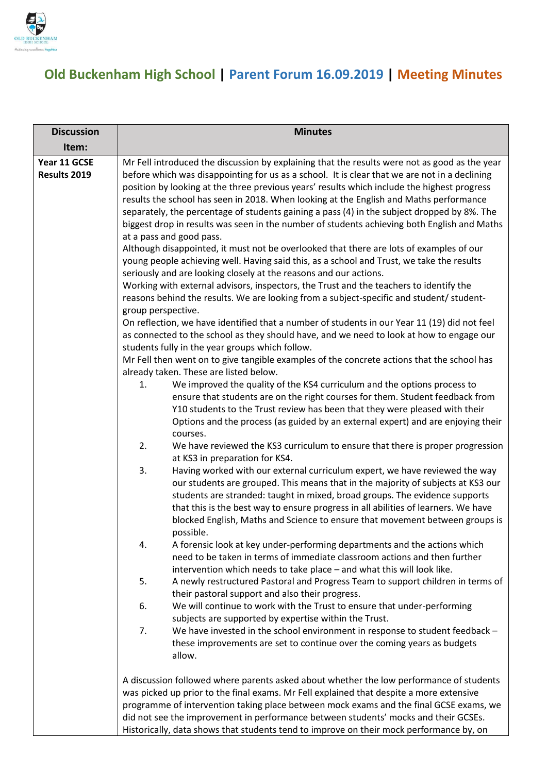

## **Old Buckenham High School | Parent Forum 16.09.2019 | Meeting Minutes**

| <b>Discussion</b>            | <b>Minutes</b>                                                                                                                                                                                 |                                                                                                                                                                                                                                                                                                                                                                                     |  |
|------------------------------|------------------------------------------------------------------------------------------------------------------------------------------------------------------------------------------------|-------------------------------------------------------------------------------------------------------------------------------------------------------------------------------------------------------------------------------------------------------------------------------------------------------------------------------------------------------------------------------------|--|
| Item:                        |                                                                                                                                                                                                |                                                                                                                                                                                                                                                                                                                                                                                     |  |
| Year 11 GCSE<br>Results 2019 | Mr Fell introduced the discussion by explaining that the results were not as good as the year<br>before which was disappointing for us as a school. It is clear that we are not in a declining |                                                                                                                                                                                                                                                                                                                                                                                     |  |
|                              |                                                                                                                                                                                                | position by looking at the three previous years' results which include the highest progress<br>results the school has seen in 2018. When looking at the English and Maths performance<br>separately, the percentage of students gaining a pass (4) in the subject dropped by 8%. The<br>biggest drop in results was seen in the number of students achieving both English and Maths |  |
|                              |                                                                                                                                                                                                | at a pass and good pass.                                                                                                                                                                                                                                                                                                                                                            |  |
|                              |                                                                                                                                                                                                | Although disappointed, it must not be overlooked that there are lots of examples of our<br>young people achieving well. Having said this, as a school and Trust, we take the results<br>seriously and are looking closely at the reasons and our actions.                                                                                                                           |  |
|                              |                                                                                                                                                                                                | Working with external advisors, inspectors, the Trust and the teachers to identify the                                                                                                                                                                                                                                                                                              |  |
|                              | group perspective.                                                                                                                                                                             | reasons behind the results. We are looking from a subject-specific and student/ student-                                                                                                                                                                                                                                                                                            |  |
|                              |                                                                                                                                                                                                | On reflection, we have identified that a number of students in our Year 11 (19) did not feel                                                                                                                                                                                                                                                                                        |  |
|                              | as connected to the school as they should have, and we need to look at how to engage our<br>students fully in the year groups which follow.                                                    |                                                                                                                                                                                                                                                                                                                                                                                     |  |
|                              | Mr Fell then went on to give tangible examples of the concrete actions that the school has                                                                                                     |                                                                                                                                                                                                                                                                                                                                                                                     |  |
|                              | 1.                                                                                                                                                                                             | already taken. These are listed below.<br>We improved the quality of the KS4 curriculum and the options process to                                                                                                                                                                                                                                                                  |  |
|                              |                                                                                                                                                                                                | ensure that students are on the right courses for them. Student feedback from                                                                                                                                                                                                                                                                                                       |  |
|                              |                                                                                                                                                                                                | Y10 students to the Trust review has been that they were pleased with their                                                                                                                                                                                                                                                                                                         |  |
|                              |                                                                                                                                                                                                | Options and the process (as guided by an external expert) and are enjoying their<br>courses.                                                                                                                                                                                                                                                                                        |  |
|                              | 2.                                                                                                                                                                                             | We have reviewed the KS3 curriculum to ensure that there is proper progression<br>at KS3 in preparation for KS4.                                                                                                                                                                                                                                                                    |  |
|                              | 3.                                                                                                                                                                                             | Having worked with our external curriculum expert, we have reviewed the way<br>our students are grouped. This means that in the majority of subjects at KS3 our                                                                                                                                                                                                                     |  |
|                              |                                                                                                                                                                                                | students are stranded: taught in mixed, broad groups. The evidence supports<br>that this is the best way to ensure progress in all abilities of learners. We have<br>blocked English, Maths and Science to ensure that movement between groups is                                                                                                                                   |  |
|                              | 4.                                                                                                                                                                                             | possible.<br>A forensic look at key under-performing departments and the actions which                                                                                                                                                                                                                                                                                              |  |
|                              |                                                                                                                                                                                                | need to be taken in terms of immediate classroom actions and then further<br>intervention which needs to take place - and what this will look like.                                                                                                                                                                                                                                 |  |
|                              | 5.                                                                                                                                                                                             | A newly restructured Pastoral and Progress Team to support children in terms of<br>their pastoral support and also their progress.                                                                                                                                                                                                                                                  |  |
|                              | 6.                                                                                                                                                                                             | We will continue to work with the Trust to ensure that under-performing<br>subjects are supported by expertise within the Trust.                                                                                                                                                                                                                                                    |  |
|                              | 7.                                                                                                                                                                                             | We have invested in the school environment in response to student feedback -<br>these improvements are set to continue over the coming years as budgets<br>allow.                                                                                                                                                                                                                   |  |
|                              |                                                                                                                                                                                                | A discussion followed where parents asked about whether the low performance of students                                                                                                                                                                                                                                                                                             |  |
|                              |                                                                                                                                                                                                | was picked up prior to the final exams. Mr Fell explained that despite a more extensive                                                                                                                                                                                                                                                                                             |  |
|                              |                                                                                                                                                                                                | programme of intervention taking place between mock exams and the final GCSE exams, we<br>did not see the improvement in performance between students' mocks and their GCSEs.                                                                                                                                                                                                       |  |
|                              |                                                                                                                                                                                                | Historically, data shows that students tend to improve on their mock performance by, on                                                                                                                                                                                                                                                                                             |  |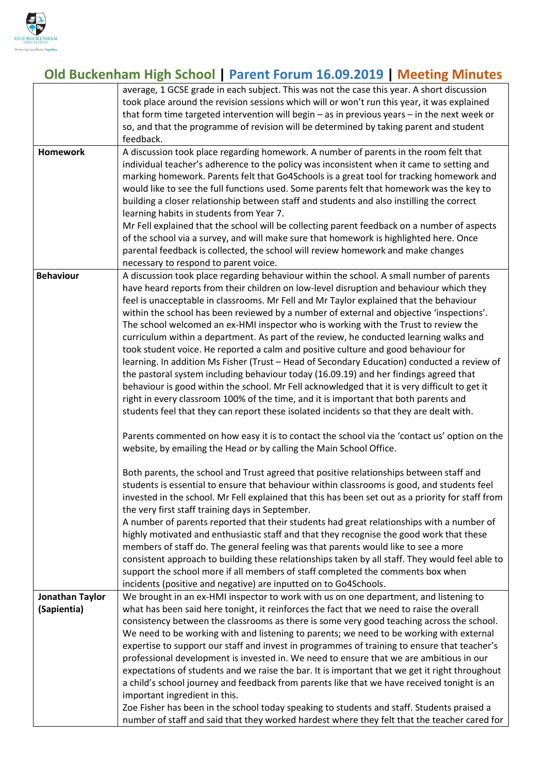

## **Old Buckenham High School | Parent Forum 16.09.2019 | Meeting Minutes**

|                  | average, 1 GCSE grade in each subject. This was not the case this year. A short discussion        |  |  |
|------------------|---------------------------------------------------------------------------------------------------|--|--|
|                  | took place around the revision sessions which will or won't run this year, it was explained       |  |  |
|                  | that form time targeted intervention will begin $-$ as in previous years $-$ in the next week or  |  |  |
|                  | so, and that the programme of revision will be determined by taking parent and student            |  |  |
|                  | feedback.                                                                                         |  |  |
| <b>Homework</b>  | A discussion took place regarding homework. A number of parents in the room felt that             |  |  |
|                  | individual teacher's adherence to the policy was inconsistent when it came to setting and         |  |  |
|                  | marking homework. Parents felt that Go4Schools is a great tool for tracking homework and          |  |  |
|                  | would like to see the full functions used. Some parents felt that homework was the key to         |  |  |
|                  | building a closer relationship between staff and students and also instilling the correct         |  |  |
|                  | learning habits in students from Year 7.                                                          |  |  |
|                  | Mr Fell explained that the school will be collecting parent feedback on a number of aspects       |  |  |
|                  | of the school via a survey, and will make sure that homework is highlighted here. Once            |  |  |
|                  | parental feedback is collected, the school will review homework and make changes                  |  |  |
|                  | necessary to respond to parent voice.                                                             |  |  |
| <b>Behaviour</b> | A discussion took place regarding behaviour within the school. A small number of parents          |  |  |
|                  | have heard reports from their children on low-level disruption and behaviour which they           |  |  |
|                  | feel is unacceptable in classrooms. Mr Fell and Mr Taylor explained that the behaviour            |  |  |
|                  | within the school has been reviewed by a number of external and objective 'inspections'.          |  |  |
|                  | The school welcomed an ex-HMI inspector who is working with the Trust to review the               |  |  |
|                  | curriculum within a department. As part of the review, he conducted learning walks and            |  |  |
|                  | took student voice. He reported a calm and positive culture and good behaviour for                |  |  |
|                  | learning. In addition Ms Fisher (Trust - Head of Secondary Education) conducted a review of       |  |  |
|                  | the pastoral system including behaviour today (16.09.19) and her findings agreed that             |  |  |
|                  | behaviour is good within the school. Mr Fell acknowledged that it is very difficult to get it     |  |  |
|                  | right in every classroom 100% of the time, and it is important that both parents and              |  |  |
|                  | students feel that they can report these isolated incidents so that they are dealt with.          |  |  |
|                  |                                                                                                   |  |  |
|                  | Parents commented on how easy it is to contact the school via the 'contact us' option on the      |  |  |
|                  | website, by emailing the Head or by calling the Main School Office.                               |  |  |
|                  |                                                                                                   |  |  |
|                  | Both parents, the school and Trust agreed that positive relationships between staff and           |  |  |
|                  | students is essential to ensure that behaviour within classrooms is good, and students feel       |  |  |
|                  | invested in the school. Mr Fell explained that this has been set out as a priority for staff from |  |  |
|                  | the very first staff training days in September.                                                  |  |  |
|                  | A number of parents reported that their students had great relationships with a number of         |  |  |
|                  | highly motivated and enthusiastic staff and that they recognise the good work that these          |  |  |
|                  | members of staff do. The general feeling was that parents would like to see a more                |  |  |
|                  | consistent approach to building these relationships taken by all staff. They would feel able to   |  |  |
|                  | support the school more if all members of staff completed the comments box when                   |  |  |
|                  | incidents (positive and negative) are inputted on to Go4Schools.                                  |  |  |
| Jonathan Taylor  | We brought in an ex-HMI inspector to work with us on one department, and listening to             |  |  |
| (Sapientia)      | what has been said here tonight, it reinforces the fact that we need to raise the overall         |  |  |
|                  | consistency between the classrooms as there is some very good teaching across the school.         |  |  |
|                  | We need to be working with and listening to parents; we need to be working with external          |  |  |
|                  | expertise to support our staff and invest in programmes of training to ensure that teacher's      |  |  |
|                  | professional development is invested in. We need to ensure that we are ambitious in our           |  |  |
|                  | expectations of students and we raise the bar. It is important that we get it right throughout    |  |  |
|                  | a child's school journey and feedback from parents like that we have received tonight is an       |  |  |
|                  | important ingredient in this.                                                                     |  |  |
|                  | Zoe Fisher has been in the school today speaking to students and staff. Students praised a        |  |  |
|                  | number of staff and said that they worked hardest where they felt that the teacher cared for      |  |  |